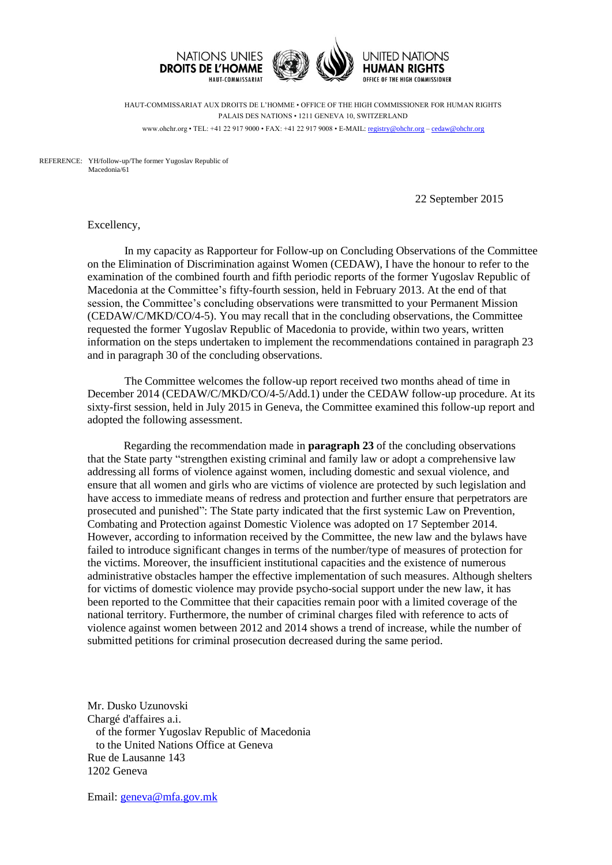

HAUT-COMMISSARIAT AUX DROITS DE L'HOMME • OFFICE OF THE HIGH COMMISSIONER FOR HUMAN RIGHTS PALAIS DES NATIONS • 1211 GENEVA 10, SWITZERLAND www.ohchr.org • TEL: +41 22 917 9000 • FAX: +41 22 917 9008 • E-MAIL: [registry@ohchr.org](mailto:registry@ohchr.org) – [cedaw@ohchr.org](mailto:cedaw@ohchr.org)

REFERENCE: YH/follow-up/The former Yugoslav Republic of Macedonia/61

22 September 2015

Excellency,

In my capacity as Rapporteur for Follow-up on Concluding Observations of the Committee on the Elimination of Discrimination against Women (CEDAW), I have the honour to refer to the examination of the combined fourth and fifth periodic reports of the former Yugoslav Republic of Macedonia at the Committee's fifty-fourth session, held in February 2013. At the end of that session, the Committee's concluding observations were transmitted to your Permanent Mission (CEDAW/C/MKD/CO/4-5). You may recall that in the concluding observations, the Committee requested the former Yugoslav Republic of Macedonia to provide, within two years, written information on the steps undertaken to implement the recommendations contained in paragraph 23 and in paragraph 30 of the concluding observations.

The Committee welcomes the follow-up report received two months ahead of time in December 2014 (CEDAW/C/MKD/CO/4-5/Add.1) under the CEDAW follow-up procedure. At its sixty-first session, held in July 2015 in Geneva, the Committee examined this follow-up report and adopted the following assessment.

Regarding the recommendation made in **paragraph 23** of the concluding observations that the State party "strengthen existing criminal and family law or adopt a comprehensive law addressing all forms of violence against women, including domestic and sexual violence, and ensure that all women and girls who are victims of violence are protected by such legislation and have access to immediate means of redress and protection and further ensure that perpetrators are prosecuted and punished": The State party indicated that the first systemic Law on Prevention, Combating and Protection against Domestic Violence was adopted on 17 September 2014. However, according to information received by the Committee, the new law and the bylaws have failed to introduce significant changes in terms of the number/type of measures of protection for the victims. Moreover, the insufficient institutional capacities and the existence of numerous administrative obstacles hamper the effective implementation of such measures. Although shelters for victims of domestic violence may provide psycho-social support under the new law, it has been reported to the Committee that their capacities remain poor with a limited coverage of the national territory. Furthermore, the number of criminal charges filed with reference to acts of violence against women between 2012 and 2014 shows a trend of increase, while the number of submitted petitions for criminal prosecution decreased during the same period.

Mr. Dusko Uzunovski Chargé d'affaires a.i. of the former Yugoslav Republic of Macedonia to the United Nations Office at Geneva Rue de Lausanne 143 1202 Geneva

Email: [geneva@mfa.gov.mk](mailto:geneva@mfa.gov.mk)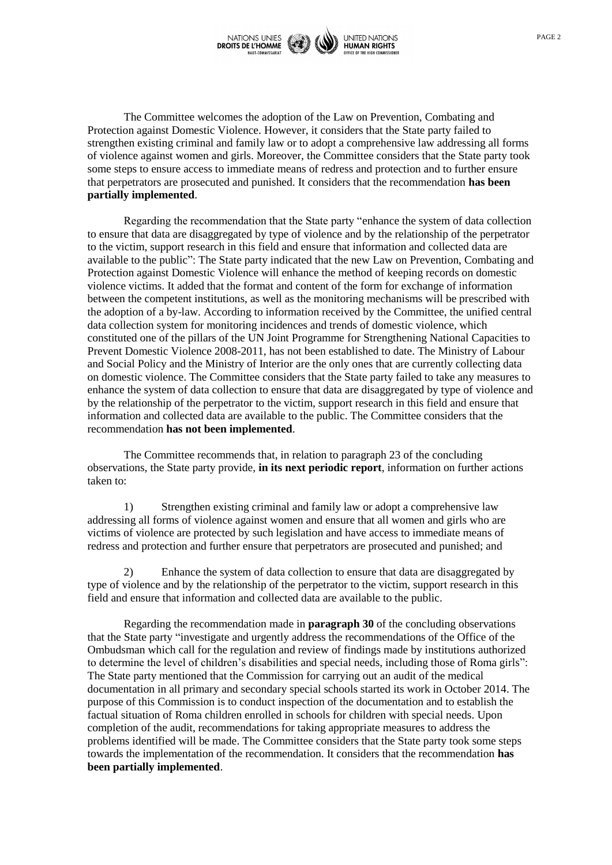

The Committee welcomes the adoption of the Law on Prevention, Combating and Protection against Domestic Violence. However, it considers that the State party failed to strengthen existing criminal and family law or to adopt a comprehensive law addressing all forms of violence against women and girls. Moreover, the Committee considers that the State party took some steps to ensure access to immediate means of redress and protection and to further ensure that perpetrators are prosecuted and punished. It considers that the recommendation **has been partially implemented**.

Regarding the recommendation that the State party "enhance the system of data collection to ensure that data are disaggregated by type of violence and by the relationship of the perpetrator to the victim, support research in this field and ensure that information and collected data are available to the public": The State party indicated that the new Law on Prevention, Combating and Protection against Domestic Violence will enhance the method of keeping records on domestic violence victims. It added that the format and content of the form for exchange of information between the competent institutions, as well as the monitoring mechanisms will be prescribed with the adoption of a by-law. According to information received by the Committee, the unified central data collection system for monitoring incidences and trends of domestic violence, which constituted one of the pillars of the UN Joint Programme for Strengthening National Capacities to Prevent Domestic Violence 2008-2011, has not been established to date. The Ministry of Labour and Social Policy and the Ministry of Interior are the only ones that are currently collecting data on domestic violence. The Committee considers that the State party failed to take any measures to enhance the system of data collection to ensure that data are disaggregated by type of violence and by the relationship of the perpetrator to the victim, support research in this field and ensure that information and collected data are available to the public. The Committee considers that the recommendation **has not been implemented**.

The Committee recommends that, in relation to paragraph 23 of the concluding observations, the State party provide, **in its next periodic report**, information on further actions taken to:

1) Strengthen existing criminal and family law or adopt a comprehensive law addressing all forms of violence against women and ensure that all women and girls who are victims of violence are protected by such legislation and have access to immediate means of redress and protection and further ensure that perpetrators are prosecuted and punished; and

2) Enhance the system of data collection to ensure that data are disaggregated by type of violence and by the relationship of the perpetrator to the victim, support research in this field and ensure that information and collected data are available to the public.

Regarding the recommendation made in **paragraph 30** of the concluding observations that the State party "investigate and urgently address the recommendations of the Office of the Ombudsman which call for the regulation and review of findings made by institutions authorized to determine the level of children's disabilities and special needs, including those of Roma girls": The State party mentioned that the Commission for carrying out an audit of the medical documentation in all primary and secondary special schools started its work in October 2014. The purpose of this Commission is to conduct inspection of the documentation and to establish the factual situation of Roma children enrolled in schools for children with special needs. Upon completion of the audit, recommendations for taking appropriate measures to address the problems identified will be made. The Committee considers that the State party took some steps towards the implementation of the recommendation. It considers that the recommendation **has been partially implemented**.